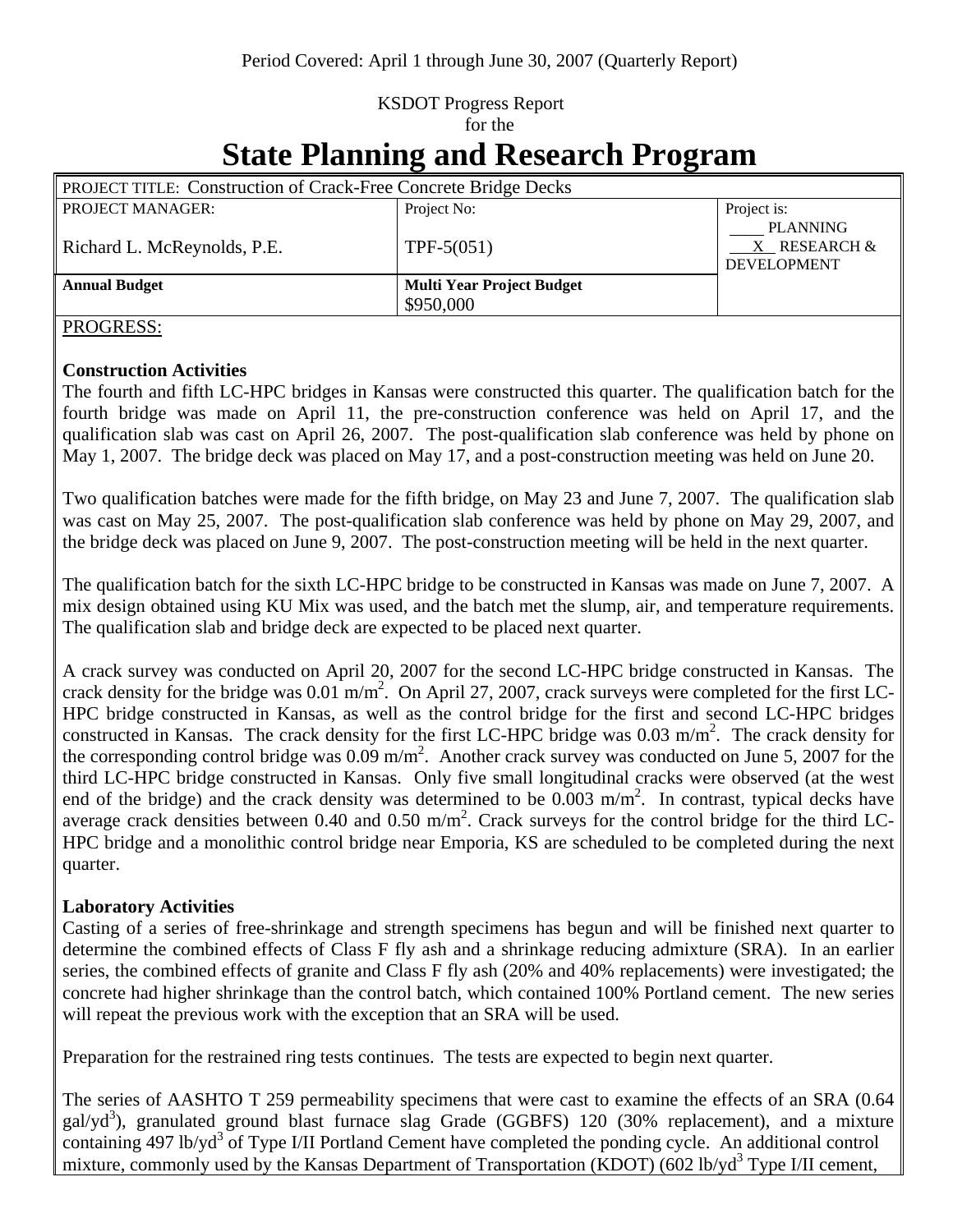## KSDOT Progress Report for the

# **State Planning and Research Program**

| <b>PROJECT TITLE: Construction of Crack-Free Concrete Bridge Decks</b> |                                  |                                                       |
|------------------------------------------------------------------------|----------------------------------|-------------------------------------------------------|
| <b>PROJECT MANAGER:</b>                                                | Project No:                      | Project is:                                           |
| Richard L. McReynolds, P.E.                                            | $TPF-5(051)$                     | <b>PLANNING</b><br>X RESEARCH &<br><b>DEVELOPMENT</b> |
| <b>Annual Budget</b>                                                   | <b>Multi Year Project Budget</b> |                                                       |
|                                                                        | \$950,000                        |                                                       |

#### PROGRESS:

#### **Construction Activities**

The fourth and fifth LC-HPC bridges in Kansas were constructed this quarter. The qualification batch for the fourth bridge was made on April 11, the pre-construction conference was held on April 17, and the qualification slab was cast on April 26, 2007. The post-qualification slab conference was held by phone on May 1, 2007. The bridge deck was placed on May 17, and a post-construction meeting was held on June 20.

Two qualification batches were made for the fifth bridge, on May 23 and June 7, 2007. The qualification slab was cast on May 25, 2007. The post-qualification slab conference was held by phone on May 29, 2007, and the bridge deck was placed on June 9, 2007. The post-construction meeting will be held in the next quarter.

The qualification batch for the sixth LC-HPC bridge to be constructed in Kansas was made on June 7, 2007. A mix design obtained using KU Mix was used, and the batch met the slump, air, and temperature requirements. The qualification slab and bridge deck are expected to be placed next quarter.

A crack survey was conducted on April 20, 2007 for the second LC-HPC bridge constructed in Kansas. The crack density for the bridge was  $0.01 \text{ m/m}^2$ . On April 27, 2007, crack surveys were completed for the first LC-HPC bridge constructed in Kansas, as well as the control bridge for the first and second LC-HPC bridges constructed in Kansas. The crack density for the first LC-HPC bridge was  $0.03 \text{ m/m}^2$ . The crack density for the corresponding control bridge was  $0.09 \text{ m/m}^2$ . Another crack survey was conducted on June 5, 2007 for the third LC-HPC bridge constructed in Kansas. Only five small longitudinal cracks were observed (at the west end of the bridge) and the crack density was determined to be  $0.003$  m/m<sup>2</sup>. In contrast, typical decks have average crack densities between  $0.40$  and  $0.50$  m/m<sup>2</sup>. Crack surveys for the control bridge for the third LC-HPC bridge and a monolithic control bridge near Emporia, KS are scheduled to be completed during the next quarter.

#### **Laboratory Activities**

Casting of a series of free-shrinkage and strength specimens has begun and will be finished next quarter to determine the combined effects of Class F fly ash and a shrinkage reducing admixture (SRA). In an earlier series, the combined effects of granite and Class F fly ash (20% and 40% replacements) were investigated; the concrete had higher shrinkage than the control batch, which contained 100% Portland cement. The new series will repeat the previous work with the exception that an SRA will be used.

Preparation for the restrained ring tests continues. The tests are expected to begin next quarter.

The series of AASHTO T 259 permeability specimens that were cast to examine the effects of an SRA (0.64 gal/yd<sup>3</sup>), granulated ground blast furnace slag Grade (GGBFS) 120 (30% replacement), and a mixture containing 497 lb/yd<sup>3</sup> of Type I/II Portland Cement have completed the ponding cycle. An additional control mixture, commonly used by the Kansas Department of Transportation (KDOT) (602 lb/yd<sup>3</sup> Type I/II cement,